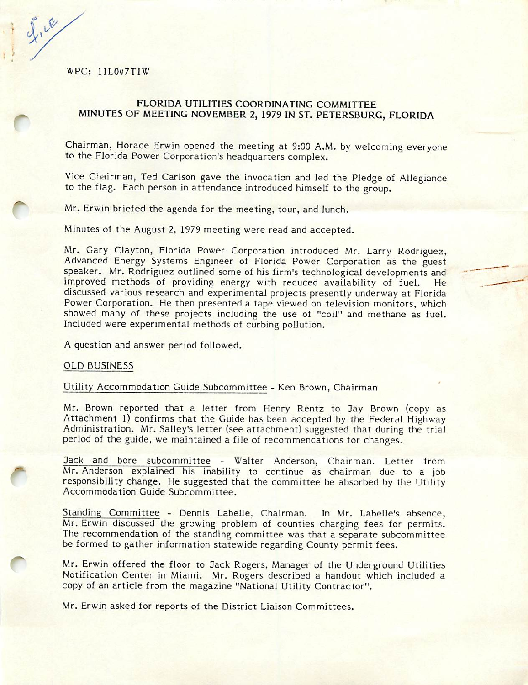WPC: 11L0^^7T1W

 $2.16$ 

#### FLORIDA UTILITIES COORDINATING COMMITTEE MINUTES OF MEETING NOVEMBER 2, 1979 IN ST. PETERSBURG, FLORIDA

Chairman, Horace Erwin opened the meeting at 9:00 A.M. by welcoming everyone to the Florida Power Corporation's headquarters complex.

Vice Chairman, Ted Carlson gave the invocation and led the Pledge of Allegiance to the flag. Each person in attendance introduced himself to the group.

Mr. Erwin briefed the agenda for the meeting, tour, and lunch.

Minutes of the August 2, 1979 meeting were read and accepted.

Mr. Gary Clayton, Florida Power Corporation introduced Mr. Larry Rodriguez, Advanced Energy Systems Engineer of Florida Power Corporation as the guest speaker. Mr. Rodriguez outlined some of his firm's technological developments and improved methods of providing energy with reduced availability of fuel. He discussed various research and experimental projects presently underway at Florida Power Corporation. He then presented a tape viewed on television monitors, which showed many of these projects including the use of "coil" and methane as fuel. Included were experimental methods of curbing pollution.

A question and answer period followed.

#### OLD BUSINESS

#### Utility Accommodation Guide Subcommittee - Ken Brown, Chairman

Mr. Brown reported that a letter from Henry Rentz to 3ay Brown (copy as Attachment 1) confirms that the Guide has been accepted by the Federal Highway Administration. Mr. Salley's letter (see attachment) suggested that during the trial period of the guide, we maintained a file of recommendations for changes.

Jack and bore subcommittee - Walter Anderson, Chairman. Letter from M r. Anderson explained his inability to continue as chairman due to a job responsibility change. He suggested that the committee be absorbed by the Utility Accommodation Guide Subcommittee.

Standing Committee - Dennis Labelle, Chairman. In Mr. Labelle's absence, Mr. Erwin discussed the growing problem of counties charging fees for permits. The recommendation of the standing committee was that a separate subcommittee be formed to gather information statewide regarding County permit fees.

Mr. Erwin offered the floor to Jack Rogers, Manager of the Underground Utilities Notification Center in Miami. Mr. Rogers described a handout which included a copy of an article from the magazine "National Utility Contractor".

Mr. Erwin asked for reports of the District Liaison Committees.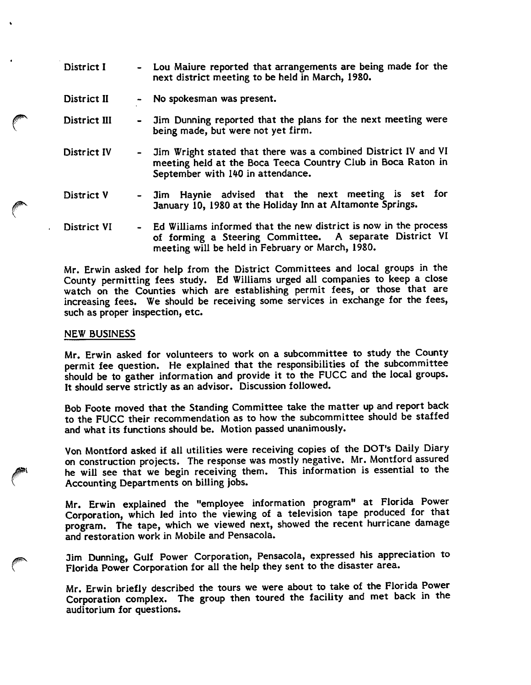District I - Lou Maiure reported that arrangements are being made for the next district meeting to be held in March, 1980.

District II - No spokesman was present.

- District III 3im Dunning reported that the plans for the next meeting were being made, but were not yet firm.
- District IV Jim Wright stated that there was a combined District IV and VI meeting held at the Boca Teeca Country Ciub in Boca Raton in September with 140 in attendance.
- District V Jim Haynie advised that the next meeting is set for January 10, 1980 at the Holiday Inn at Altamonte Springs.
- District VI Ed Williams informed that the new district is now in the process of forming a Steering Committee. A separate District VI meeting will be held in February or March, 1980.

Mr. Erwin asked for help from the District Committees and local groups in the County permitting fees study. Ed Williams urged all companies to keep a close watch on the Counties which are establishing permit fees, or those that are increasing fees. We should be receiving some services in exchange for the fees, such as proper inspection, etc.

#### NEW BUSINESS

Mr. Erwin asked for volunteers to work on a subcommittee to study the County permit fee question. He explained that the responsibilities of the subcommittee should be to gather information and provide it to the FUCC and the local groups. It should serve strictly as an advisor. Discussion followed.

Bob Foote moved that the Standing Committee take the matter up and report back to the FUCC their recommendation as to how the subcommittee should be staffed and what its functions should be. Motion passed unanimously.

Von Montford asked if all utilities were receiving copies of the DOT's Daily Diary on construction projects. The response was mostly negative. Mr. Montford assured he will see that we begin receiving them. This information is essential to the Accounting Departments on billing jobs.

Mr. Erwin explained the "employee information program" at Florida Power Corporation, which led into the viewing of a television tape produced for that program. The tape, which we viewed next, showed the recent hurricane damage and restoration work in Mobile and Pensacola.

Jim Dunning, Gulf Power Corporation, Pensacola, expressed his appreciation to Florida Power Corporation for all the help they sent to the disaster area.

Mr. Erwin briefly described the tours we were about to take of the Florida Power Corporation complex. The group then toured the facility and met back in the auditorium for questions.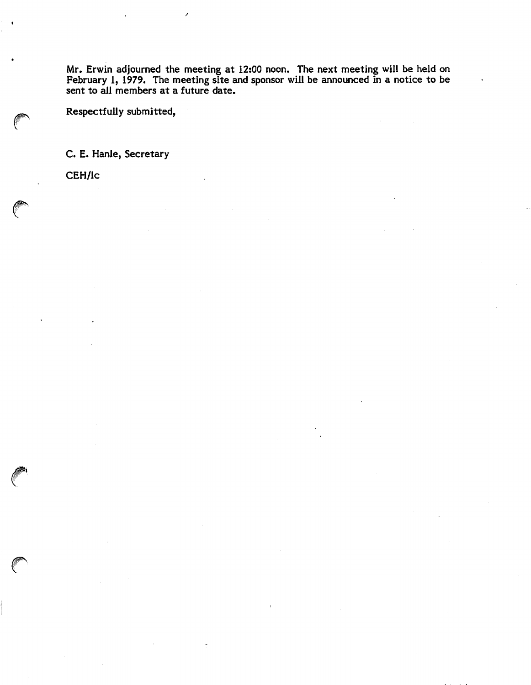Mr. Erwin adjourned the meeting at 12:00 noon. The next meeting will be held on February 1, 1979. The meeting site and sponsor will be announced in a notice to be sent to all members at a future date.

Respectfully submitted,

C. E. Hanle, Secretary

CEH/lc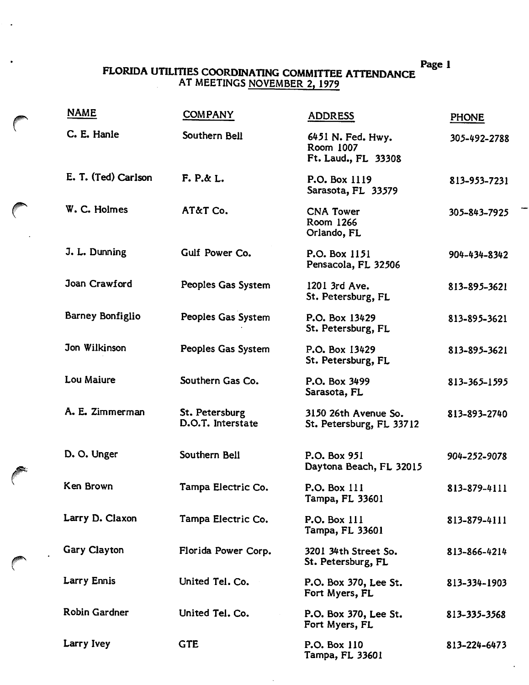$\ddot{\phantom{a}}$ 

### FLORIDA UTiLITIES COORDINATING COMMITTEE ATTENDANCE AT MEETINGS NOVEMBER 2, 1979

| <b>NAME</b>         | <b>COMPANY</b>                      | <b>ADDRESS</b>                                        | <b>PHONE</b> |
|---------------------|-------------------------------------|-------------------------------------------------------|--------------|
| C. E. Hanle         | Southern Bell                       | 6451 N. Fed. Hwy.<br>Room 1007<br>Ft. Laud., FL 33308 | 305-492-2788 |
| E. T. (Ted) Carlson | $F. P. \& L.$                       | P.O. Box 1119<br>Sarasota, FL 33579                   | 813-953-7231 |
| W. C. Holmes        | AT&T Co.                            | <b>CNA Tower</b><br>Room 1266<br>Orlando, FL          | 305-843-7925 |
| J. L. Dunning       | Gulf Power Co.                      | P.O. Box 1151<br>Pensacola, FL 32506                  | 904-434-8342 |
| Joan Crawford       | Peoples Gas System                  | 1201 3rd Ave.<br>St. Petersburg, FL                   | 813-895-3621 |
| Barney Bonfiglio    | Peoples Gas System                  | P.O. Box 13429<br>St. Petersburg, FL                  | 813-895-3621 |
| Jon Wilkinson       | Peoples Gas System                  | P.O. Box 13429<br>St. Petersburg, FL                  | 813-895-3621 |
| Lou Maiure          | Southern Gas Co.                    | P.O. Box 3499<br>Sarasota, FL                         | 813-365-1595 |
| A. E. Zimmerman     | St. Petersburg<br>D.O.T. Interstate | 3150 26th Avenue So.<br>St. Petersburg, FL 33712      | 813-893-2740 |
| D. O. Unger         | Southern Bell                       | P.O. Box 951<br>Daytona Beach, FL 32015               | 904-252-9078 |
| Ken Brown           | Tampa Electric Co.                  | P.O. Box 111<br>Tampa, FL 33601                       | 813-879-4111 |
| Larry D. Claxon     | Tampa Electric Co.                  | P.O. Box 111<br>Tampa, FL 33601                       | 813-879-4111 |
| Gary Clayton        | Florida Power Corp.                 | 3201 34th Street So.<br>St. Petersburg, FL            | 813-866-4214 |
| Larry Ennis         | United Tel. Co.                     | P.O. Box 370, Lee St.<br>Fort Myers, FL               | 813-334-1903 |
| Robin Gardner       | United Tel. Co.                     | P.O. Box 370, Lee St.<br>Fort Myers, FL               | 813-335-3568 |
| Larry Ivey          | <b>GTE</b>                          | P.O. Box 110<br>Tampa, FL 33601                       | 813-224-6473 |

 $\mathcal{L}$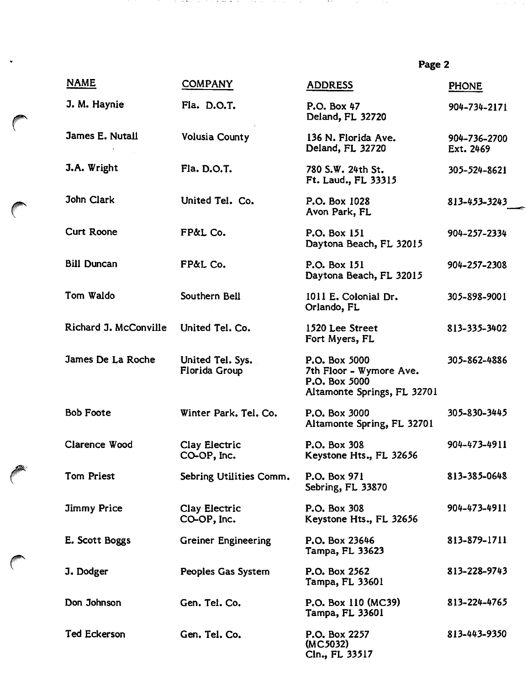| <b>NAME</b>           | <b>COMPANY</b>                    | <b>ADDRESS</b>                                                                           | <b>PHONE</b>              |
|-----------------------|-----------------------------------|------------------------------------------------------------------------------------------|---------------------------|
| J. M. Haynie          | Fla. D.O.T.                       | P.O. Box 47<br>Deland, FL 32720                                                          | 904-734-2171              |
| James E. Nutall       | Volusia County                    | 136 N. Florida Ave.<br>Deland, FL 32720                                                  | 904-736-2700<br>Ext. 2469 |
| J.A. Wright           | Fla. D.O.T.                       | 780 S.W. 24th St.<br>Ft. Laud., FL 33315                                                 | 305-524-8621              |
| John Clark            | United Tel. Co.                   | P.O. Box 1028<br>Avon Park, FL                                                           | 813-453-3243              |
| <b>Curt Roone</b>     | FP&L Co.                          | P.O. Box 151<br>Daytona Beach, FL 32015                                                  | 904-257-2334              |
| <b>Bill Duncan</b>    | FP&L Co.                          | P.O. Box 151<br>Daytona Beach, FL 32015                                                  | 904-257-2308              |
| Tom Waldo             | Southern Bell                     | 1011 E. Colonial Dr.<br>Orlando, FL                                                      | 305-898-9001              |
| Richard J. McConville | United Tel. Co.                   | 1520 Lee Street<br>Fort Myers, FL                                                        | 813-335-3402              |
| James De La Roche     | United Tel. Sys.<br>Florida Group | P.O. Box 5000<br>7th Floor - Wymore Ave.<br>P.O. Box 5000<br>Altamonte Springs, FL 32701 | 305-862-4886              |
| <b>Bob Foote</b>      | Winter Park. Tel. Co.             | P.O. Box 3000<br>Altamonte Spring, FL 32701                                              | 305-830-3445              |
| Clarence Wood         | Clay Electric<br>CO-OP, Inc.      | P.O. Box 308<br>Keystone Hts., FL 32656                                                  | 904-473-4911              |
| Tom Priest            | Sebring Utilities Comm.           | P.O. Box 971<br>Sebring, FL 33870                                                        | 813-385-0648              |
| <b>Jimmy Price</b>    | Clay Electric<br>CO-OP, Inc.      | P.O. Box 308<br>Keystone Hts., FL 32656                                                  | 904-473-4911              |
| E. Scott Boggs        | <b>Greiner Engineering</b>        | P.O. Box 23646<br>Tampa, FL 33623                                                        | 813-879-1711              |
| J. Dodger             | Peoples Gas System                | P.O. Box 2562<br>Tampa, FL 33601                                                         | 813-228-9743              |
| Don Johnson           | Gen. Tel. Co.                     | P.O. Box 110 (MC39)<br>Tampa, FL 33601                                                   | 813-224-4765              |
| <b>Ted Eckerson</b>   | Gen. Tel. Co.                     | P.O. Box 2257<br>(MC5032)<br>Cln., FL 33517                                              | 813-443-9350              |

de la provincia de la contrata de la provincia de

 $\ddot{\phantom{0}}$ 

and the company of the company

and the co

and the con-

 $\mathcal{O}(\mathcal{O}(n))$  , where  $\mathcal{O}(\mathcal{O}(n))$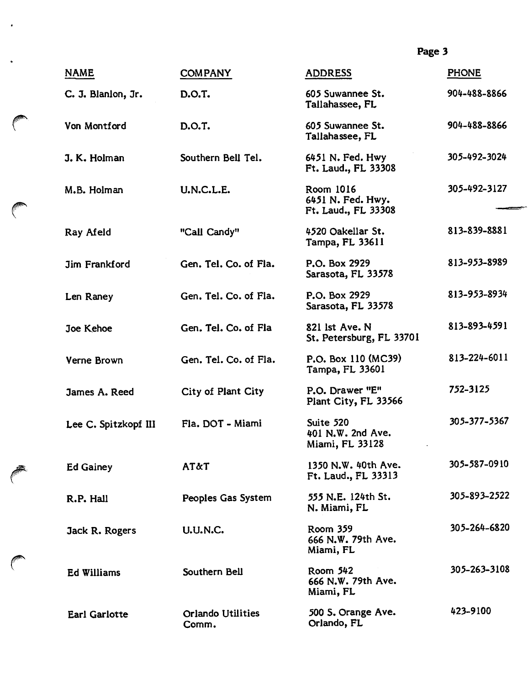| <b>NAME</b>          | <b>COMPANY</b>                    | <b>ADDRESS</b>                                        | <b>PHONE</b> |
|----------------------|-----------------------------------|-------------------------------------------------------|--------------|
| C. J. Blanlon, Jr.   | D.O.T.                            | 605 Suwannee St.<br>Tallahassee, FL                   | 904-488-8866 |
| Von Montford         | D.O.T.                            | 605 Suwannee St.<br>Tallahassee, FL                   | 904-488-8866 |
| J. K. Holman         | Southern Bell Tel.                | 6451 N. Fed. Hwy<br>Ft. Laud., FL 33308               | 305-492-3024 |
| M.B. Holman          | U.N.C.L.E.                        | Room 1016<br>6451 N. Fed. Hwy.<br>Ft. Laud., FL 33308 | 305-492-3127 |
| Ray Afeld            | "Call Candy"                      | 4520 Oakellar St.<br>Tampa, FL 33611                  | 813-839-8881 |
| <b>Jim Frankford</b> | Gen. Tel. Co. of Fla.             | P.O. Box 2929<br>Sarasota, FL 33578                   | 813-953-8989 |
| Len Raney            | Gen. Tel. Co. of Fla.             | P.O. Box 2929<br>Sarasota, FL 33578                   | 813-953-8934 |
| Joe Kehoe            | Gen. Tel. Co. of Fla              | 821 lst Ave. N<br>St. Petersburg, FL 33701            | 813-893-4591 |
| Verne Brown          | Gen. Tel. Co. of Fla.             | P.O. Box 110 (MC39)<br>Tampa, FL 33601                | 813-224-6011 |
| James A. Reed        | City of Plant City                | P.O. Drawer "E"<br>Plant City, FL 33566               | 752-3125     |
| Lee C. Spitzkopf III | Fla. DOT - Miami                  | Suite 520<br>401 N.W. 2nd Ave.<br>Miami, FL 33128     | 305-377-5367 |
| <b>Ed Gainey</b>     | <b>AT&amp;T</b>                   | 1350 N.W. 40th Ave.<br>Ft. Laud., FL 33313            | 305-587-0910 |
| R.P. Hall            | Peoples Gas System                | 555 N.E. 124th St.<br>N. Miami, FL                    | 305-893-2522 |
| Jack R. Rogers       | <b>U.U.N.C.</b>                   | Room 359<br>666 N.W. 79th Ave.<br>Miami, FL           | 305-264-6820 |
| <b>Ed Williams</b>   | Southern Bell                     | Room 542<br>666 N.W. 79th Ave.<br>Miami, FL           | 305-263-3108 |
| <b>Earl Garlotte</b> | <b>Orlando Utilities</b><br>Comm. | 500 S. Orange Ave.<br>Orlando, FL                     | 423-9100     |

 $\cdot$ 

 $\ddot{\bullet}$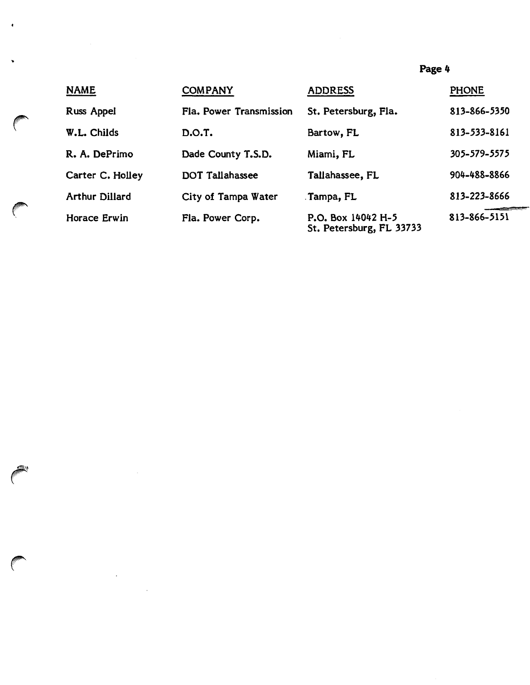| <b>NAME</b>           | <b>COMPANY</b>          | <b>ADDRESS</b>                                 | <b>PHONE</b> |
|-----------------------|-------------------------|------------------------------------------------|--------------|
| Russ Appel            | Fla. Power Transmission | St. Petersburg, Fla.                           | 813-866-5350 |
| W.L. Childs           | D.O.T.                  | Bartow, FL                                     | 813-533-8161 |
| R. A. DePrimo         | Dade County T.S.D.      | Miami, FL                                      | 305-579-5575 |
| Carter C. Holley      | DOT Tallahassee         | Tallahassee, FL                                | 904-488-8866 |
| <b>Arthur Dillard</b> | City of Tampa Water     | Tampa, FL                                      | 813-223-8666 |
| Horace Erwin          | Fla. Power Corp.        | P.O. Box 14042 H-5<br>St. Petersburg, FL 33733 | 813-866-5151 |

 $\bullet$ 

 $\bullet$ 

 $\mathcal{L}_{\text{max}}$  and  $\mathcal{L}_{\text{max}}$ 

 $\label{eq:2.1} \begin{split} \mathcal{L}_{\text{max}}(\mathbf{X}) = \mathcal{L}_{\text{max}}(\mathbf{X}) \,, \end{split}$